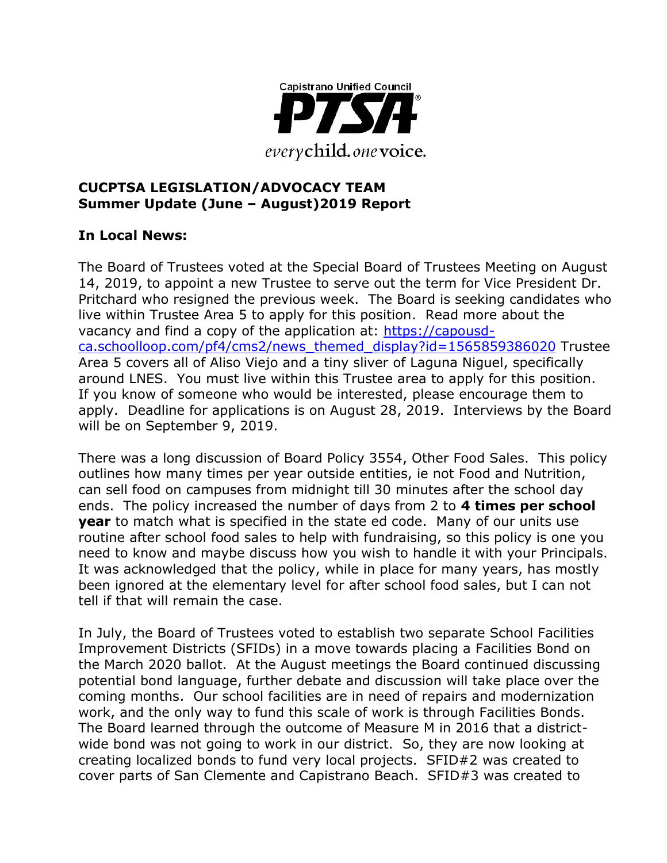

#### **CUCPTSA LEGISLATION/ADVOCACY TEAM Summer Update (June – August)2019 Report**

# **In Local News:**

The Board of Trustees voted at the Special Board of Trustees Meeting on August 14, 2019, to appoint a new Trustee to serve out the term for Vice President Dr. Pritchard who resigned the previous week. The Board is seeking candidates who live within Trustee Area 5 to apply for this position. Read more about the vacancy and find a copy of the application at: [https://capousd](https://capousd-ca.schoolloop.com/pf4/cms2/news_themed_display?id=1565859386020)[ca.schoolloop.com/pf4/cms2/news\\_themed\\_display?id=1565859386020](https://capousd-ca.schoolloop.com/pf4/cms2/news_themed_display?id=1565859386020) Trustee Area 5 covers all of Aliso Viejo and a tiny sliver of Laguna Niguel, specifically around LNES. You must live within this Trustee area to apply for this position. If you know of someone who would be interested, please encourage them to apply. Deadline for applications is on August 28, 2019. Interviews by the Board will be on September 9, 2019.

There was a long discussion of Board Policy 3554, Other Food Sales. This policy outlines how many times per year outside entities, ie not Food and Nutrition, can sell food on campuses from midnight till 30 minutes after the school day ends. The policy increased the number of days from 2 to **4 times per school year** to match what is specified in the state ed code. Many of our units use routine after school food sales to help with fundraising, so this policy is one you need to know and maybe discuss how you wish to handle it with your Principals. It was acknowledged that the policy, while in place for many years, has mostly been ignored at the elementary level for after school food sales, but I can not tell if that will remain the case.

In July, the Board of Trustees voted to establish two separate School Facilities Improvement Districts (SFIDs) in a move towards placing a Facilities Bond on the March 2020 ballot. At the August meetings the Board continued discussing potential bond language, further debate and discussion will take place over the coming months. Our school facilities are in need of repairs and modernization work, and the only way to fund this scale of work is through Facilities Bonds. The Board learned through the outcome of Measure M in 2016 that a districtwide bond was not going to work in our district. So, they are now looking at creating localized bonds to fund very local projects. SFID#2 was created to cover parts of San Clemente and Capistrano Beach. SFID#3 was created to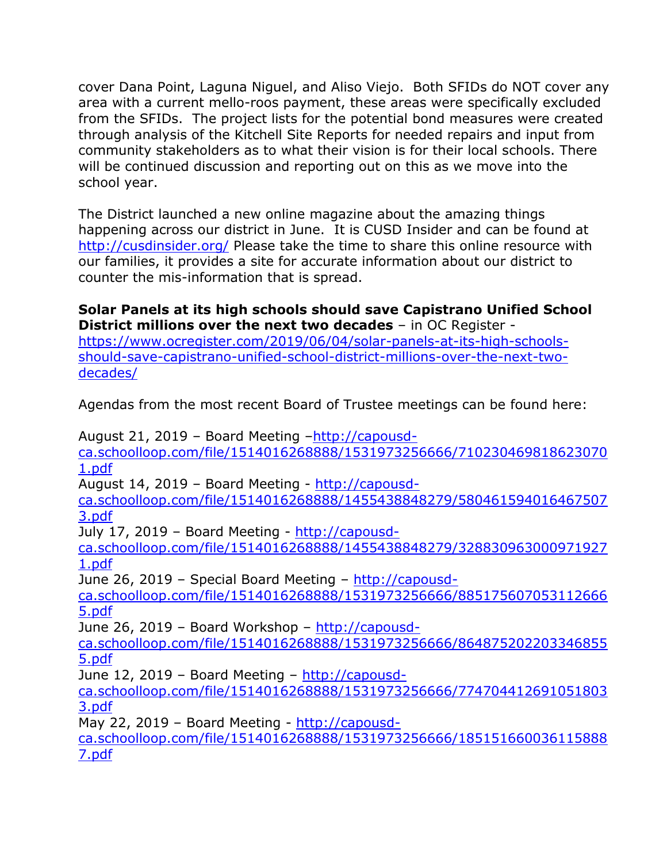cover Dana Point, Laguna Niguel, and Aliso Viejo. Both SFIDs do NOT cover any area with a current mello-roos payment, these areas were specifically excluded from the SFIDs. The project lists for the potential bond measures were created through analysis of the Kitchell Site Reports for needed repairs and input from community stakeholders as to what their vision is for their local schools. There will be continued discussion and reporting out on this as we move into the school year.

The District launched a new online magazine about the amazing things happening across our district in June. It is CUSD Insider and can be found at <http://cusdinsider.org/> Please take the time to share this online resource with our families, it provides a site for accurate information about our district to counter the mis-information that is spread.

### **Solar Panels at its high schools should save Capistrano Unified School District millions over the next two decades** – in OC Register -

[https://www.ocregister.com/2019/06/04/solar-panels-at-its-high-schools](https://www.ocregister.com/2019/06/04/solar-panels-at-its-high-schools-should-save-capistrano-unified-school-district-millions-over-the-next-two-decades/)[should-save-capistrano-unified-school-district-millions-over-the-next-two](https://www.ocregister.com/2019/06/04/solar-panels-at-its-high-schools-should-save-capistrano-unified-school-district-millions-over-the-next-two-decades/)[decades/](https://www.ocregister.com/2019/06/04/solar-panels-at-its-high-schools-should-save-capistrano-unified-school-district-millions-over-the-next-two-decades/)

Agendas from the most recent Board of Trustee meetings can be found here:

August 21, 2019 – Board Meeting –[http://capousd](http://capousd-ca.schoolloop.com/file/1514016268888/1531973256666/7102304698186230701.pdf)[ca.schoolloop.com/file/1514016268888/1531973256666/710230469818623070](http://capousd-ca.schoolloop.com/file/1514016268888/1531973256666/7102304698186230701.pdf) [1.pdf](http://capousd-ca.schoolloop.com/file/1514016268888/1531973256666/7102304698186230701.pdf) August 14, 2019 – Board Meeting - [http://capousd](http://capousd-ca.schoolloop.com/file/1514016268888/1455438848279/5804615940164675073.pdf)[ca.schoolloop.com/file/1514016268888/1455438848279/580461594016467507](http://capousd-ca.schoolloop.com/file/1514016268888/1455438848279/5804615940164675073.pdf) [3.pdf](http://capousd-ca.schoolloop.com/file/1514016268888/1455438848279/5804615940164675073.pdf) July 17, 2019 - Board Meeting - [http://capousd](http://capousd-ca.schoolloop.com/file/1514016268888/1455438848279/3288309630009719271.pdf)[ca.schoolloop.com/file/1514016268888/1455438848279/328830963000971927](http://capousd-ca.schoolloop.com/file/1514016268888/1455438848279/3288309630009719271.pdf) [1.pdf](http://capousd-ca.schoolloop.com/file/1514016268888/1455438848279/3288309630009719271.pdf) June 26, 2019 – Special Board Meeting – [http://capousd](http://capousd-ca.schoolloop.com/file/1514016268888/1531973256666/8851756070531126665.pdf)[ca.schoolloop.com/file/1514016268888/1531973256666/885175607053112666](http://capousd-ca.schoolloop.com/file/1514016268888/1531973256666/8851756070531126665.pdf) [5.pdf](http://capousd-ca.schoolloop.com/file/1514016268888/1531973256666/8851756070531126665.pdf) June 26, 2019 – Board Workshop – [http://capousd](http://capousd-ca.schoolloop.com/file/1514016268888/1531973256666/8648752022033468555.pdf)[ca.schoolloop.com/file/1514016268888/1531973256666/864875202203346855](http://capousd-ca.schoolloop.com/file/1514016268888/1531973256666/8648752022033468555.pdf) [5.pdf](http://capousd-ca.schoolloop.com/file/1514016268888/1531973256666/8648752022033468555.pdf) June 12, 2019 - Board Meeting - [http://capousd](http://capousd-ca.schoolloop.com/file/1514016268888/1531973256666/7747044126910518033.pdf)[ca.schoolloop.com/file/1514016268888/1531973256666/774704412691051803](http://capousd-ca.schoolloop.com/file/1514016268888/1531973256666/7747044126910518033.pdf) [3.pdf](http://capousd-ca.schoolloop.com/file/1514016268888/1531973256666/7747044126910518033.pdf) May 22, 2019 – Board Meeting - [http://capousd](http://capousd-ca.schoolloop.com/file/1514016268888/1531973256666/1851516600361158887.pdf)[ca.schoolloop.com/file/1514016268888/1531973256666/185151660036115888](http://capousd-ca.schoolloop.com/file/1514016268888/1531973256666/1851516600361158887.pdf)

[7.pdf](http://capousd-ca.schoolloop.com/file/1514016268888/1531973256666/1851516600361158887.pdf)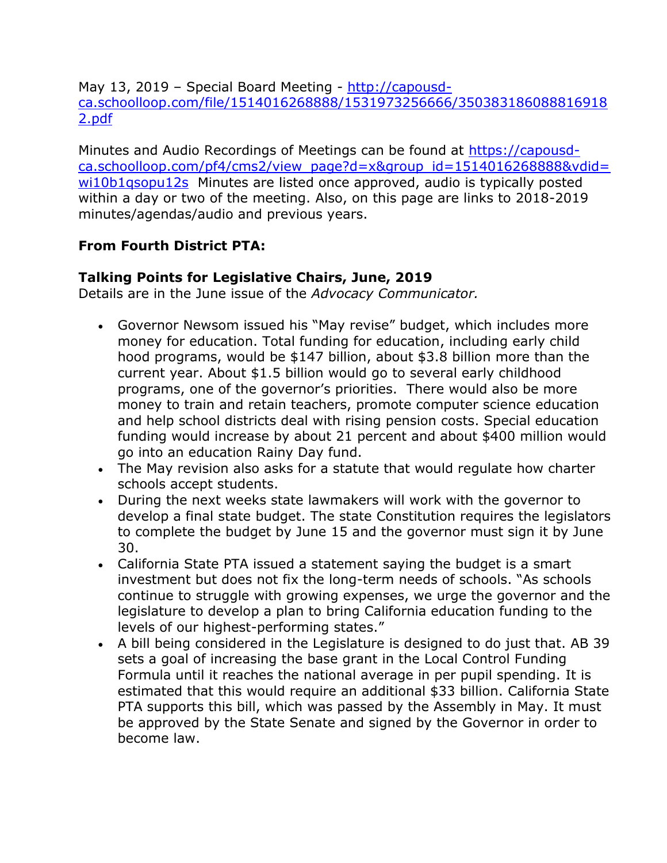May 13, 2019 - Special Board Meeting - [http://capousd](http://capousd-ca.schoolloop.com/file/1514016268888/1531973256666/3503831860888169182.pdf)[ca.schoolloop.com/file/1514016268888/1531973256666/350383186088816918](http://capousd-ca.schoolloop.com/file/1514016268888/1531973256666/3503831860888169182.pdf) [2.pdf](http://capousd-ca.schoolloop.com/file/1514016268888/1531973256666/3503831860888169182.pdf)

Minutes and Audio Recordings of Meetings can be found at [https://capousd](https://capousd-ca.schoolloop.com/pf4/cms2/view_page?d=x&group_id=1514016268888&vdid=wi10b1qsopu12s)[ca.schoolloop.com/pf4/cms2/view\\_page?d=x&group\\_id=1514016268888&vdid=](https://capousd-ca.schoolloop.com/pf4/cms2/view_page?d=x&group_id=1514016268888&vdid=wi10b1qsopu12s) [wi10b1qsopu12s](https://capousd-ca.schoolloop.com/pf4/cms2/view_page?d=x&group_id=1514016268888&vdid=wi10b1qsopu12s) Minutes are listed once approved, audio is typically posted within a day or two of the meeting. Also, on this page are links to 2018-2019 minutes/agendas/audio and previous years.

# **From Fourth District PTA:**

### **Talking Points for Legislative Chairs, June, 2019**

Details are in the June issue of the *Advocacy Communicator.*

- Governor Newsom issued his "May revise" budget, which includes more money for education. Total funding for education, including early child hood programs, would be \$147 billion, about \$3.8 billion more than the current year. About \$1.5 billion would go to several early childhood programs, one of the governor's priorities. There would also be more money to train and retain teachers, promote computer science education and help school districts deal with rising pension costs. Special education funding would increase by about 21 percent and about \$400 million would go into an education Rainy Day fund.
- The May revision also asks for a statute that would regulate how charter schools accept students.
- During the next weeks state lawmakers will work with the governor to develop a final state budget. The state Constitution requires the legislators to complete the budget by June 15 and the governor must sign it by June 30.
- California State PTA issued a statement saying the budget is a smart investment but does not fix the long-term needs of schools. "As schools continue to struggle with growing expenses, we urge the governor and the legislature to develop a plan to bring California education funding to the levels of our highest-performing states."
- A bill being considered in the Legislature is designed to do just that. AB 39 sets a goal of increasing the base grant in the Local Control Funding Formula until it reaches the national average in per pupil spending. It is estimated that this would require an additional \$33 billion. California State PTA supports this bill, which was passed by the Assembly in May. It must be approved by the State Senate and signed by the Governor in order to become law.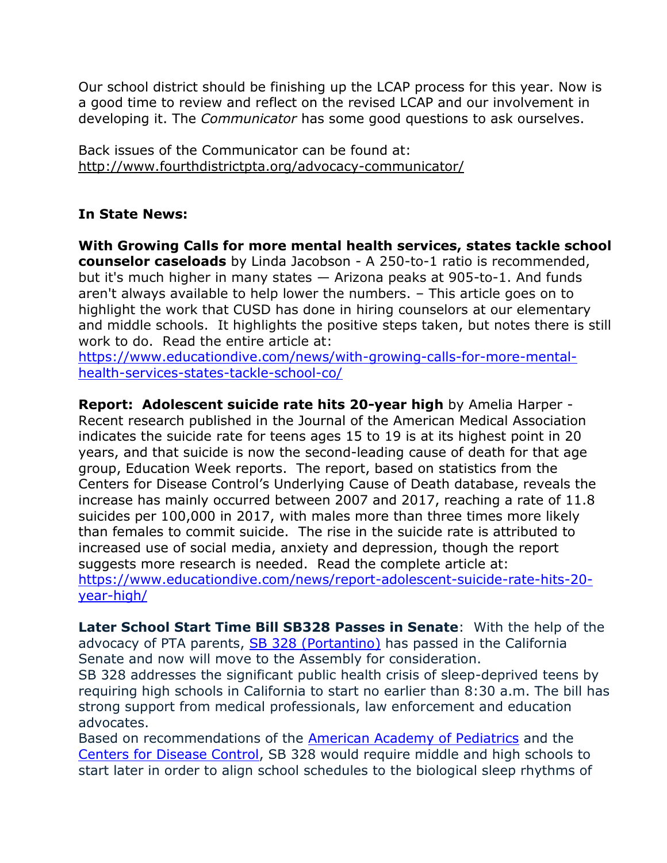Our school district should be finishing up the LCAP process for this year. Now is a good time to review and reflect on the revised LCAP and our involvement in developing it. The *Communicator* has some good questions to ask ourselves.

Back issues of the Communicator can be found at: <http://www.fourthdistrictpta.org/advocacy-communicator/>

# **In State News:**

**With Growing Calls for more mental health services, states tackle school counselor caseloads** by Linda Jacobson - A 250-to-1 ratio is recommended, but it's much higher in many states — Arizona peaks at 905-to-1. And funds aren't always available to help lower the numbers. – This article goes on to highlight the work that CUSD has done in hiring counselors at our elementary and middle schools. It highlights the positive steps taken, but notes there is still work to do. Read the entire article at:

[https://www.educationdive.com/news/with-growing-calls-for-more-mental](https://www.educationdive.com/news/with-growing-calls-for-more-mental-health-services-states-tackle-school-co/)[health-services-states-tackle-school-co/](https://www.educationdive.com/news/with-growing-calls-for-more-mental-health-services-states-tackle-school-co/)

**Report: Adolescent suicide rate hits 20-year high** by Amelia Harper - Recent research published in the Journal of the American Medical Association indicates the suicide rate for teens ages 15 to 19 is at its highest point in 20 years, and that suicide is now the second-leading cause of death for that age group, Education Week reports. The report, based on statistics from the Centers for Disease Control's Underlying Cause of Death database, reveals the increase has mainly occurred between 2007 and 2017, reaching a rate of 11.8 suicides per 100,000 in 2017, with males more than three times more likely than females to commit suicide. The rise in the suicide rate is attributed to increased use of social media, anxiety and depression, though the report suggests more research is needed. Read the complete article at: [https://www.educationdive.com/news/report-adolescent-suicide-rate-hits-20](https://www.educationdive.com/news/report-adolescent-suicide-rate-hits-20-year-high/) [year-high/](https://www.educationdive.com/news/report-adolescent-suicide-rate-hits-20-year-high/)

**Later School Start Time Bill SB328 Passes in Senate**: With the help of the advocacy of PTA parents, [SB 328 \(Portantino\)](http://capta.benchurl.com/c/l?u=8C7E95B&e=E5ECB7&c=4592C&t=0&l=2619006E&email=TepeYfBsuqqthho6K9B9EXzBjzlZ2TJR&seq=1) has passed in the California Senate and now will move to the Assembly for consideration.

SB 328 addresses the significant public health crisis of sleep-deprived teens by requiring high schools in California to start no earlier than 8:30 a.m. The bill has strong support from medical professionals, law enforcement and education advocates.

Based on recommendations of the [American Academy of Pediatrics](http://capta.benchurl.com/c/l?u=8C7E95C&e=E5ECB7&c=4592C&t=0&l=2619006E&email=TepeYfBsuqqthho6K9B9EXzBjzlZ2TJR&seq=1) and the [Centers for Disease Control,](http://capta.benchurl.com/c/l?u=8C7E95D&e=E5ECB7&c=4592C&t=0&l=2619006E&email=TepeYfBsuqqthho6K9B9EXzBjzlZ2TJR&seq=1) SB 328 would require middle and high schools to start later in order to align school schedules to the biological sleep rhythms of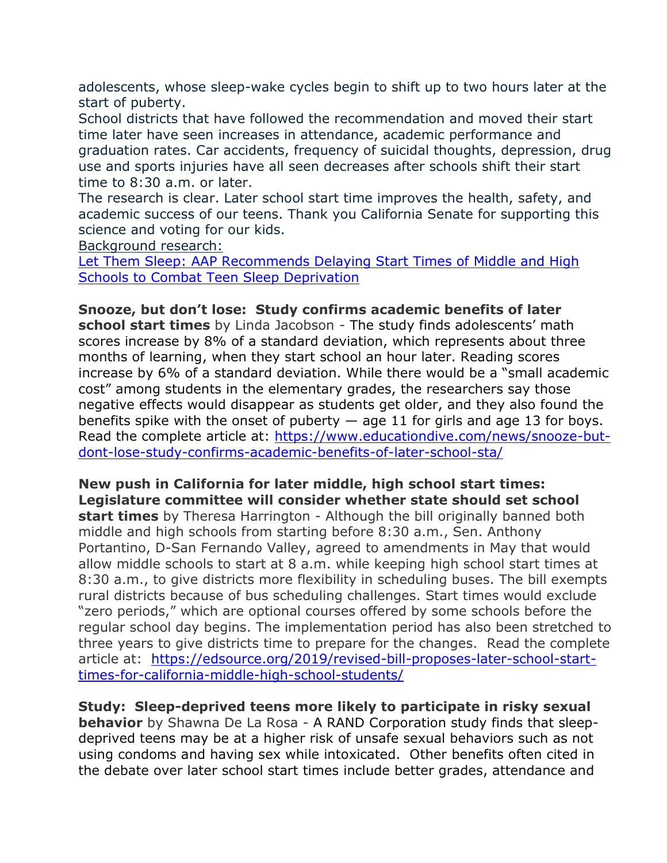adolescents, whose sleep-wake cycles begin to shift up to two hours later at the start of puberty.

School districts that have followed the recommendation and moved their start time later have seen increases in attendance, academic performance and graduation rates. Car accidents, frequency of suicidal thoughts, depression, drug use and sports injuries have all seen decreases after schools shift their start time to 8:30 a.m. or later.

The research is clear. Later school start time improves the health, safety, and academic success of our teens. Thank you California Senate for supporting this science and voting for our kids.

Background research:

[Let Them Sleep: AAP Recommends Delaying Start Times of Middle and High](http://capta.benchurl.com/c/l?u=8C7E95C&e=E5ECB7&c=4592C&t=0&l=2619006E&email=TepeYfBsuqqthho6K9B9EXzBjzlZ2TJR&seq=2)  [Schools to Combat Teen Sleep Deprivation](http://capta.benchurl.com/c/l?u=8C7E95C&e=E5ECB7&c=4592C&t=0&l=2619006E&email=TepeYfBsuqqthho6K9B9EXzBjzlZ2TJR&seq=2)

**Snooze, but don't lose: Study confirms academic benefits of later school start times** by Linda Jacobson - The study finds adolescents' math scores increase by 8% of a standard deviation, which represents about three months of learning, when they start school an hour later. Reading scores increase by 6% of a standard deviation. While there would be a "small academic cost" among students in the elementary grades, the researchers say those negative effects would disappear as students get older, and they also found the benefits spike with the onset of puberty  $-$  age 11 for girls and age 13 for boys. Read the complete article at: [https://www.educationdive.com/news/snooze-but](https://www.educationdive.com/news/snooze-but-dont-lose-study-confirms-academic-benefits-of-later-school-sta/)[dont-lose-study-confirms-academic-benefits-of-later-school-sta/](https://www.educationdive.com/news/snooze-but-dont-lose-study-confirms-academic-benefits-of-later-school-sta/)

**New push in California for later middle, high school start times: Legislature committee will consider whether state should set school start times** by Theresa Harrington - Although the bill originally banned both middle and high schools from starting before 8:30 a.m., Sen. Anthony Portantino, D-San Fernando Valley, agreed to amendments in May that would allow middle schools to start at 8 a.m. while keeping high school start times at 8:30 a.m., to give districts more flexibility in scheduling buses. The bill exempts rural districts because of bus scheduling challenges. Start times would exclude "zero periods," which are optional courses offered by some schools before the regular school day begins. The implementation period has also been stretched to three years to give districts time to prepare for the changes. Read the complete article at: [https://edsource.org/2019/revised-bill-proposes-later-school-start](https://edsource.org/2019/revised-bill-proposes-later-school-start-times-for-california-middle-high-school-students/)[times-for-california-middle-high-school-students/](https://edsource.org/2019/revised-bill-proposes-later-school-start-times-for-california-middle-high-school-students/)

**Study: Sleep-deprived teens more likely to participate in risky sexual behavior** by Shawna De La Rosa - A RAND Corporation study finds that sleepdeprived teens may be at a higher risk of unsafe sexual behaviors such as not using condoms and having sex while intoxicated. Other benefits often cited in the debate over later school start times include better grades, attendance and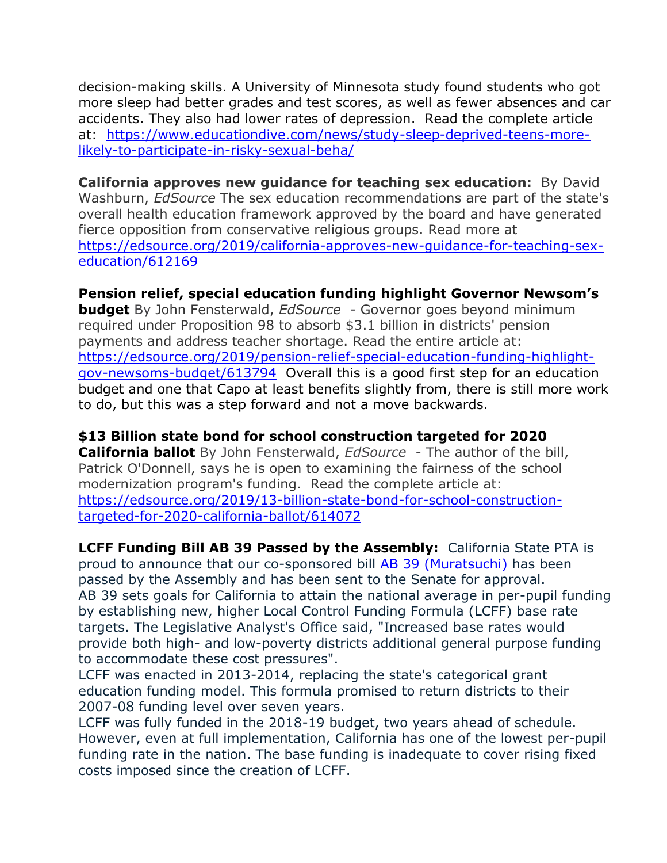decision-making skills. A University of Minnesota study found students who got more sleep had better grades and test scores, as well as fewer absences and car accidents. They also had lower rates of depression. Read the complete article at: [https://www.educationdive.com/news/study-sleep-deprived-teens-more](https://www.educationdive.com/news/study-sleep-deprived-teens-more-likely-to-participate-in-risky-sexual-beha/)[likely-to-participate-in-risky-sexual-beha/](https://www.educationdive.com/news/study-sleep-deprived-teens-more-likely-to-participate-in-risky-sexual-beha/)

**California approves new guidance for teaching sex education:** By David Washburn, *EdSource* The sex education recommendations are part of the state's overall health education framework approved by the board and have generated fierce opposition from conservative religious groups. Read more at [https://edsource.org/2019/california-approves-new-guidance-for-teaching-sex](https://edsource.org/2019/california-approves-new-guidance-for-teaching-sex-education/612169)[education/612169](https://edsource.org/2019/california-approves-new-guidance-for-teaching-sex-education/612169)

### **Pension relief, special education funding highlight Governor Newsom's**

**budget** By John Fensterwald, *EdSource* - Governor goes beyond minimum required under Proposition 98 to absorb \$3.1 billion in districts' pension payments and address teacher shortage. Read the entire article at: [https://edsource.org/2019/pension-relief-special-education-funding-highlight](https://edsource.org/2019/pension-relief-special-education-funding-highlight-gov-newsoms-budget/613794)[gov-newsoms-budget/613794](https://edsource.org/2019/pension-relief-special-education-funding-highlight-gov-newsoms-budget/613794) Overall this is a good first step for an education budget and one that Capo at least benefits slightly from, there is still more work to do, but this was a step forward and not a move backwards.

# **\$13 Billion state bond for school construction targeted for 2020**

**California ballot** By John Fensterwald, *EdSource* - The author of the bill, Patrick O'Donnell, says he is open to examining the fairness of the school modernization program's funding. Read the complete article at: [https://edsource.org/2019/13-billion-state-bond-for-school-construction](https://edsource.org/2019/13-billion-state-bond-for-school-construction-targeted-for-2020-california-ballot/614072)[targeted-for-2020-california-ballot/614072](https://edsource.org/2019/13-billion-state-bond-for-school-construction-targeted-for-2020-california-ballot/614072)

**LCFF Funding Bill AB 39 Passed by the Assembly:** California State PTA is proud to announce that our co-sponsored bill [AB 39 \(Muratsuchi\)](http://capta.benchurl.com/c/l?u=8CF9049&e=E696E4&c=4592C&t=0&l=2619006E&email=TepeYfBsuqqthho6K9B9EXzBjzlZ2TJR&seq=1) has been passed by the Assembly and has been sent to the Senate for approval. AB 39 sets goals for California to attain the national average in per-pupil funding by establishing new, higher Local Control Funding Formula (LCFF) base rate targets. The Legislative Analyst's Office said, "Increased base rates would provide both high- and low-poverty districts additional general purpose funding to accommodate these cost pressures".

LCFF was enacted in 2013-2014, replacing the state's categorical grant education funding model. This formula promised to return districts to their 2007-08 funding level over seven years.

LCFF was fully funded in the 2018-19 budget, two years ahead of schedule. However, even at full implementation, California has one of the lowest per-pupil funding rate in the nation. The base funding is inadequate to cover rising fixed costs imposed since the creation of LCFF.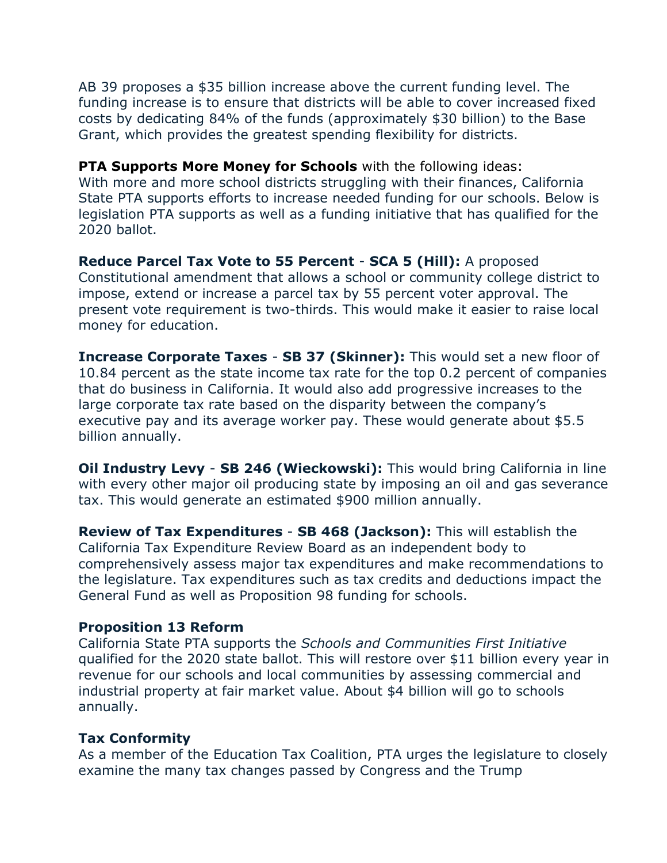AB 39 proposes a \$35 billion increase above the current funding level. The funding increase is to ensure that districts will be able to cover increased fixed costs by dedicating 84% of the funds (approximately \$30 billion) to the Base Grant, which provides the greatest spending flexibility for districts.

#### **PTA Supports More Money for Schools** with the following ideas:

With more and more school districts struggling with their finances, California State PTA supports efforts to increase needed funding for our schools. Below is legislation PTA supports as well as a funding initiative that has qualified for the 2020 ballot.

**Reduce Parcel Tax Vote to 55 Percent** - **SCA 5 (Hill):** A proposed Constitutional amendment that allows a school or community college district to impose, extend or increase a parcel tax by 55 percent voter approval. The present vote requirement is two-thirds. This would make it easier to raise local money for education.

**Increase Corporate Taxes** - **SB 37 (Skinner):** This would set a new floor of 10.84 percent as the state income tax rate for the top 0.2 percent of companies that do business in California. It would also add progressive increases to the large corporate tax rate based on the disparity between the company's executive pay and its average worker pay. These would generate about \$5.5 billion annually.

**Oil Industry Levy** - **SB 246 (Wieckowski):** This would bring California in line with every other major oil producing state by imposing an oil and gas severance tax. This would generate an estimated \$900 million annually.

**Review of Tax Expenditures** - **SB 468 (Jackson):** This will establish the California Tax Expenditure Review Board as an independent body to comprehensively assess major tax expenditures and make recommendations to the legislature. Tax expenditures such as tax credits and deductions impact the General Fund as well as Proposition 98 funding for schools.

#### **Proposition 13 Reform**

California State PTA supports the *Schools and Communities First Initiative* qualified for the 2020 state ballot. This will restore over \$11 billion every year in revenue for our schools and local communities by assessing commercial and industrial property at fair market value. About \$4 billion will go to schools annually.

#### **Tax Conformity**

As a member of the Education Tax Coalition, PTA urges the legislature to closely examine the many tax changes passed by Congress and the Trump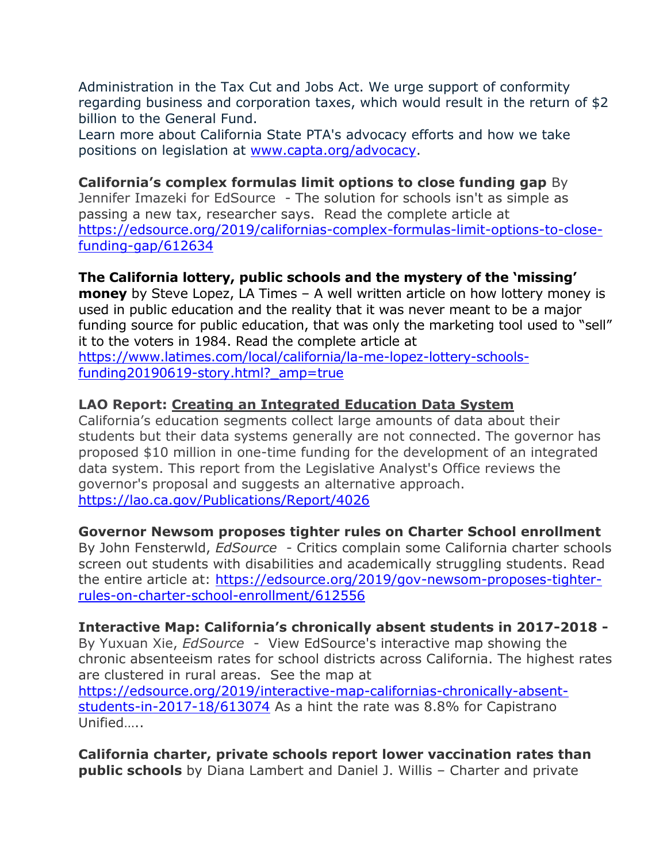Administration in the Tax Cut and Jobs Act. We urge support of conformity regarding business and corporation taxes, which would result in the return of \$2 billion to the General Fund.

Learn more about California State PTA's advocacy efforts and how we take positions on legislation at [www.capta.org/advocacy.](http://capta.benchurl.com/c/l?u=8C7FAF2&e=E5ECB7&c=4592C&t=0&l=2619006E&email=TepeYfBsuqqthho6K9B9EXzBjzlZ2TJR&seq=1)

#### **California's complex formulas limit options to close funding gap** By Jennifer Imazeki for EdSource - The solution for schools isn't as simple as passing a new tax, researcher says. Read the complete article at [https://edsource.org/2019/californias-complex-formulas-limit-options-to-close](https://edsource.org/2019/californias-complex-formulas-limit-options-to-close-funding-gap/612634)[funding-gap/612634](https://edsource.org/2019/californias-complex-formulas-limit-options-to-close-funding-gap/612634)

# **The California lottery, public schools and the mystery of the 'missing'**

**money** by Steve Lopez, LA Times – A well written article on how lottery money is used in public education and the reality that it was never meant to be a major funding source for public education, that was only the marketing tool used to "sell" it to the voters in 1984. Read the complete article at

[https://www.latimes.com/local/california/la-me-lopez-lottery-schools](https://www.latimes.com/local/california/la-me-lopez-lottery-schools-funding20190619-story.html?_amp=true)funding20190619-story.html? amp=true

### **LAO Report: [Creating an Integrated Education Data System](file:///C:/Users/myshe/AppData/Local/Temp/eud55.htm)**

California's education segments collect large amounts of data about their students but their data systems generally are not connected. The governor has proposed \$10 million in one-time funding for the development of an integrated data system. This report from the Legislative Analyst's Office reviews the governor's proposal and suggests an alternative approach. <https://lao.ca.gov/Publications/Report/4026>

# **Governor Newsom proposes tighter rules on Charter School enrollment**

By John Fensterwld, *EdSource* - Critics complain some California charter schools screen out students with disabilities and academically struggling students. Read the entire article at: [https://edsource.org/2019/gov-newsom-proposes-tighter](https://edsource.org/2019/gov-newsom-proposes-tighter-rules-on-charter-school-enrollment/612556)[rules-on-charter-school-enrollment/612556](https://edsource.org/2019/gov-newsom-proposes-tighter-rules-on-charter-school-enrollment/612556)

#### **Interactive Map: California's chronically absent students in 2017-2018 -**

By Yuxuan Xie, *EdSource* - View EdSource's interactive map showing the chronic absenteeism rates for school districts across California. The highest rates are clustered in rural areas. See the map at

[https://edsource.org/2019/interactive-map-californias-chronically-absent](https://edsource.org/2019/interactive-map-californias-chronically-absent-students-in-2017-18/613074)[students-in-2017-18/613074](https://edsource.org/2019/interactive-map-californias-chronically-absent-students-in-2017-18/613074) As a hint the rate was 8.8% for Capistrano Unified…..

**California charter, private schools report lower vaccination rates than public schools** by Diana Lambert and Daniel J. Willis – Charter and private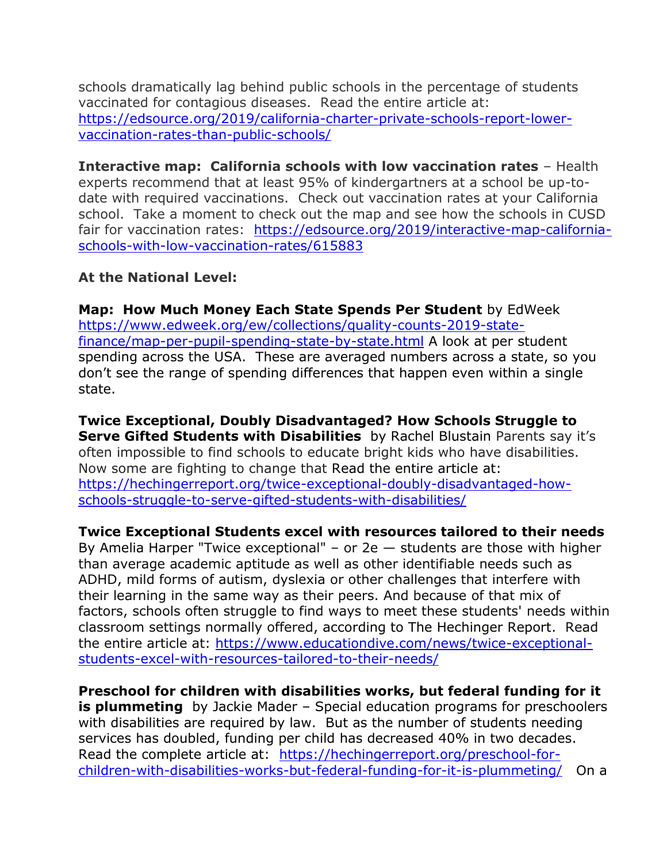schools dramatically lag behind public schools in the percentage of students vaccinated for contagious diseases. Read the entire article at: [https://edsource.org/2019/california-charter-private-schools-report-lower](https://edsource.org/2019/california-charter-private-schools-report-lower-vaccination-rates-than-public-schools/)[vaccination-rates-than-public-schools/](https://edsource.org/2019/california-charter-private-schools-report-lower-vaccination-rates-than-public-schools/)

**Interactive map: California schools with low vaccination rates** – Health experts recommend that at least 95% of kindergartners at a school be up-todate with required vaccinations. Check out vaccination rates at your California school. Take a moment to check out the map and see how the schools in CUSD fair for vaccination rates: [https://edsource.org/2019/interactive-map-california](https://edsource.org/2019/interactive-map-california-schools-with-low-vaccination-rates/615883)[schools-with-low-vaccination-rates/615883](https://edsource.org/2019/interactive-map-california-schools-with-low-vaccination-rates/615883)

### **At the National Level:**

**Map: How Much Money Each State Spends Per Student** by EdWeek [https://www.edweek.org/ew/collections/quality-counts-2019-state](https://www.edweek.org/ew/collections/quality-counts-2019-state-finance/map-per-pupil-spending-state-by-state.html)[finance/map-per-pupil-spending-state-by-state.html](https://www.edweek.org/ew/collections/quality-counts-2019-state-finance/map-per-pupil-spending-state-by-state.html) A look at per student spending across the USA. These are averaged numbers across a state, so you don't see the range of spending differences that happen even within a single state.

**Twice Exceptional, Doubly Disadvantaged? How Schools Struggle to Serve Gifted Students with Disabilities** by Rachel Blustain Parents say it's often impossible to find schools to educate bright kids who have disabilities. Now some are fighting to change that Read the entire article at: [https://hechingerreport.org/twice-exceptional-doubly-disadvantaged-how](https://hechingerreport.org/twice-exceptional-doubly-disadvantaged-how-schools-struggle-to-serve-gifted-students-with-disabilities/)[schools-struggle-to-serve-gifted-students-with-disabilities/](https://hechingerreport.org/twice-exceptional-doubly-disadvantaged-how-schools-struggle-to-serve-gifted-students-with-disabilities/)

# **Twice Exceptional Students excel with resources tailored to their needs**

By Amelia Harper "Twice exceptional" – or  $2e$  – students are those with higher than average academic aptitude as well as other identifiable needs such as ADHD, mild forms of autism, dyslexia or other challenges that interfere with their learning in the same way as their peers. And because of that mix of factors, schools often struggle to find ways to meet these students' needs within classroom settings normally offered, according to The Hechinger Report. Read the entire article at: [https://www.educationdive.com/news/twice-exceptional](https://www.educationdive.com/news/twice-exceptional-students-excel-with-resources-tailored-to-their-needs/)[students-excel-with-resources-tailored-to-their-needs/](https://www.educationdive.com/news/twice-exceptional-students-excel-with-resources-tailored-to-their-needs/)

**Preschool for children with disabilities works, but federal funding for it is plummeting** by Jackie Mader – Special education programs for preschoolers with disabilities are required by law. But as the number of students needing services has doubled, funding per child has decreased 40% in two decades. Read the complete article at: [https://hechingerreport.org/preschool-for](https://hechingerreport.org/preschool-for-children-with-disabilities-works-but-federal-funding-for-it-is-plummeting/)[children-with-disabilities-works-but-federal-funding-for-it-is-plummeting/](https://hechingerreport.org/preschool-for-children-with-disabilities-works-but-federal-funding-for-it-is-plummeting/) On a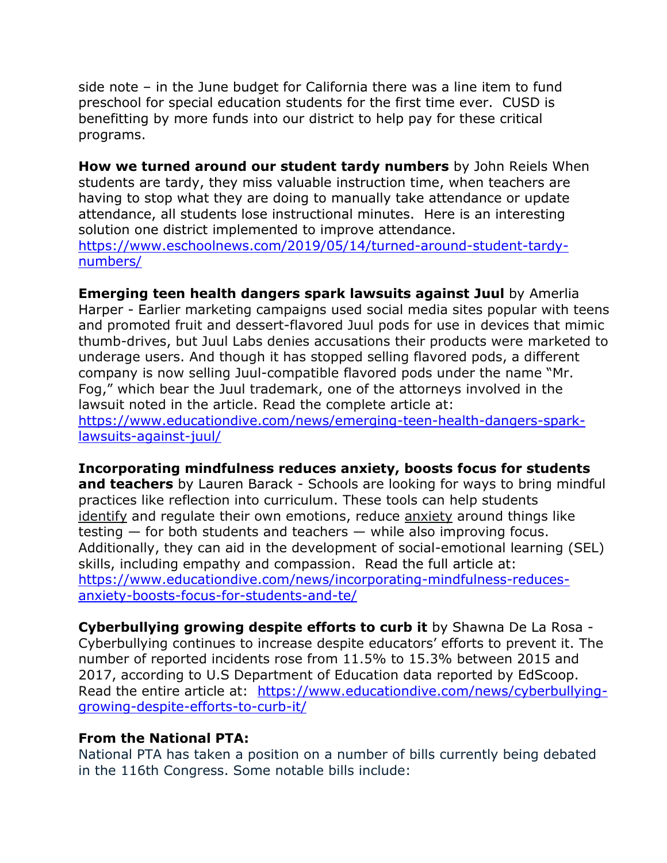side note – in the June budget for California there was a line item to fund preschool for special education students for the first time ever. CUSD is benefitting by more funds into our district to help pay for these critical programs.

**How we turned around our student tardy numbers** by John Reiels When students are tardy, they miss valuable instruction time, when teachers are having to stop what they are doing to manually take attendance or update attendance, all students lose instructional minutes. Here is an interesting solution one district implemented to improve attendance. [https://www.eschoolnews.com/2019/05/14/turned-around-student-tardy](https://www.eschoolnews.com/2019/05/14/turned-around-student-tardy-numbers/)[numbers/](https://www.eschoolnews.com/2019/05/14/turned-around-student-tardy-numbers/)

**Emerging teen health dangers spark lawsuits against Juul** by Amerlia Harper - Earlier marketing campaigns used social media sites popular with teens and promoted fruit and dessert-flavored Juul pods for use in devices that mimic thumb-drives, but Juul Labs denies accusations their products were marketed to underage users. And though it has stopped selling flavored pods, a different company is now selling Juul-compatible flavored pods under the name "Mr. Fog," which bear the Juul trademark, one of the attorneys involved in the lawsuit noted in the article. Read the complete article at: [https://www.educationdive.com/news/emerging-teen-health-dangers-spark](https://www.educationdive.com/news/emerging-teen-health-dangers-spark-lawsuits-against-juul/)[lawsuits-against-juul/](https://www.educationdive.com/news/emerging-teen-health-dangers-spark-lawsuits-against-juul/)

**Incorporating mindfulness reduces anxiety, boosts focus for students and teachers** by Lauren Barack - Schools are looking for ways to bring mindful practices like reflection into curriculum. These tools can help students [identify](https://www.educationdive.com/news/what-makes-some-sel-programs-more-successful-than-others/528109/) and regulate their own emotions, reduce [anxiety](https://www.educationdive.com/news/meditation-at-schools-can-benefit-both-learning-and-behavior/531942/) around things like testing — for both students and teachers — while also improving focus. Additionally, they can aid in the development of social-emotional learning (SEL) skills, including empathy and compassion. Read the full article at: [https://www.educationdive.com/news/incorporating-mindfulness-reduces](https://www.educationdive.com/news/incorporating-mindfulness-reduces-anxiety-boosts-focus-for-students-and-te/)[anxiety-boosts-focus-for-students-and-te/](https://www.educationdive.com/news/incorporating-mindfulness-reduces-anxiety-boosts-focus-for-students-and-te/)

**Cyberbullying growing despite efforts to curb it** by Shawna De La Rosa - Cyberbullying continues to increase despite educators' efforts to prevent it. The number of reported incidents rose from 11.5% to 15.3% between 2015 and 2017, according to U.S Department of Education data reported by EdScoop. Read the entire article at: [https://www.educationdive.com/news/cyberbullying](https://www.educationdive.com/news/cyberbullying-growing-despite-efforts-to-curb-it/)[growing-despite-efforts-to-curb-it/](https://www.educationdive.com/news/cyberbullying-growing-despite-efforts-to-curb-it/)

#### **From the National PTA:**

National PTA has taken a position on a number of bills currently being debated in the 116th Congress. Some notable bills include: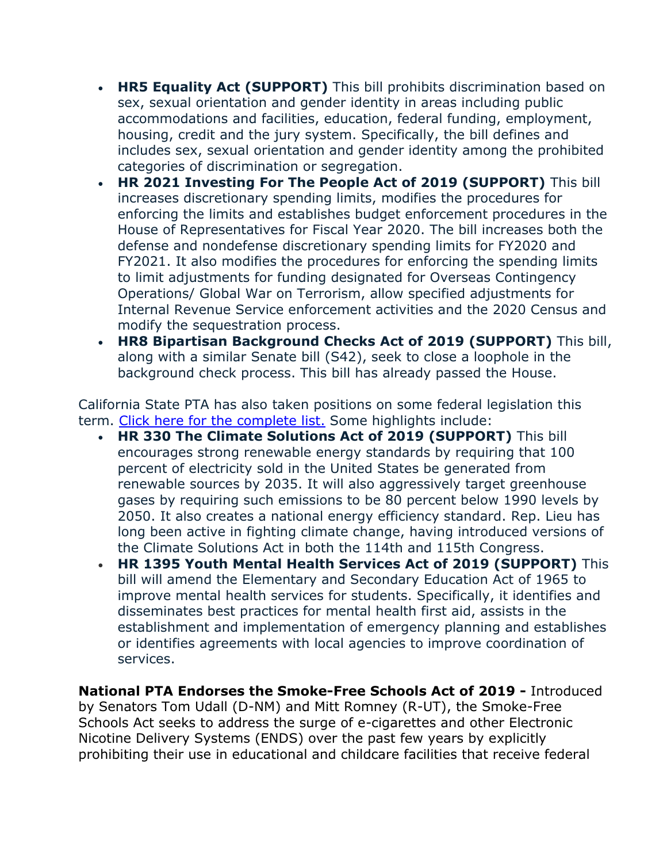- **HR5 Equality Act (SUPPORT)** This bill prohibits discrimination based on sex, sexual orientation and gender identity in areas including public accommodations and facilities, education, federal funding, employment, housing, credit and the jury system. Specifically, the bill defines and includes sex, sexual orientation and gender identity among the prohibited categories of discrimination or segregation.
- **HR 2021 Investing For The People Act of 2019 (SUPPORT)** This bill increases discretionary spending limits, modifies the procedures for enforcing the limits and establishes budget enforcement procedures in the House of Representatives for Fiscal Year 2020. The bill increases both the defense and nondefense discretionary spending limits for FY2020 and FY2021. It also modifies the procedures for enforcing the spending limits to limit adjustments for funding designated for Overseas Contingency Operations/ Global War on Terrorism, allow specified adjustments for Internal Revenue Service enforcement activities and the 2020 Census and modify the sequestration process.
- **HR8 Bipartisan Background Checks Act of 2019 (SUPPORT)** This bill, along with a similar Senate bill (S42), seek to close a loophole in the background check process. This bill has already passed the House.

California State PTA has also taken positions on some federal legislation this term. [Click here for the complete list.](http://capta.benchurl.com/c/l?u=8C8DB30&e=E602B3&c=4592C&t=0&l=2619006E&email=TepeYfBsuqqthho6K9B9EXzBjzlZ2TJR&seq=1) Some highlights include:

- **HR 330 The Climate Solutions Act of 2019 (SUPPORT)** This bill encourages strong renewable energy standards by requiring that 100 percent of electricity sold in the United States be generated from renewable sources by 2035. It will also aggressively target greenhouse gases by requiring such emissions to be 80 percent below 1990 levels by 2050. It also creates a national energy efficiency standard. Rep. Lieu has long been active in fighting climate change, having introduced versions of the Climate Solutions Act in both the 114th and 115th Congress.
- **HR 1395 Youth Mental Health Services Act of 2019 (SUPPORT)** This bill will amend the Elementary and Secondary Education Act of 1965 to improve mental health services for students. Specifically, it identifies and disseminates best practices for mental health first aid, assists in the establishment and implementation of emergency planning and establishes or identifies agreements with local agencies to improve coordination of services.

**National PTA Endorses the Smoke-Free Schools Act of 2019 -** Introduced by Senators Tom Udall (D-NM) and Mitt Romney (R-UT), the Smoke-Free Schools Act seeks to address the surge of e-cigarettes and other Electronic Nicotine Delivery Systems (ENDS) over the past few years by explicitly prohibiting their use in educational and childcare facilities that receive federal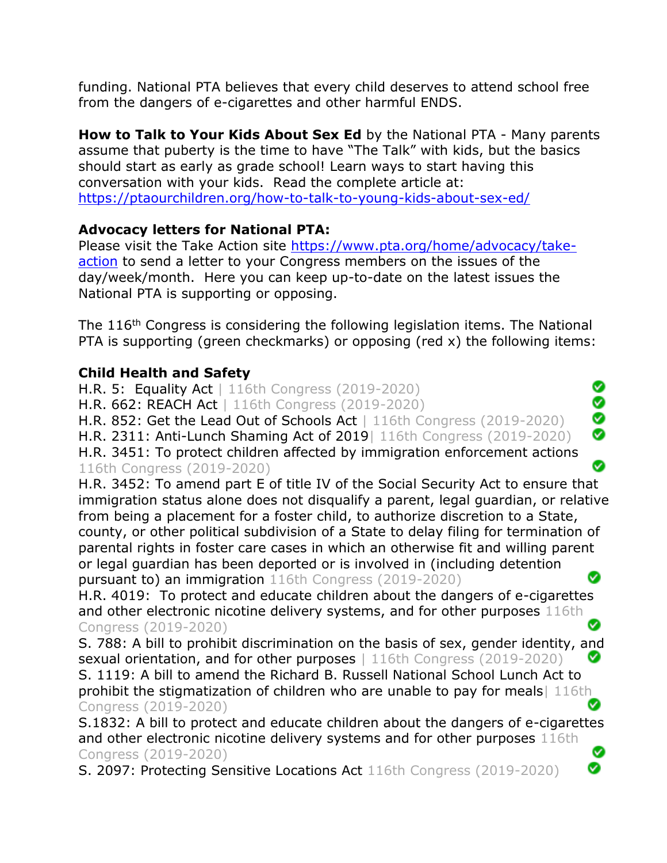funding. National PTA believes that every child deserves to attend school free from the dangers of e-cigarettes and other harmful ENDS.

**How to Talk to Your Kids About Sex Ed** by the National PTA - Many parents assume that puberty is the time to have "The Talk" with kids, but the basics should start as early as grade school! Learn ways to start having this conversation with your kids. Read the complete article at: <https://ptaourchildren.org/how-to-talk-to-young-kids-about-sex-ed/>

# **Advocacy letters for National PTA:**

Please visit the Take Action site [https://www.pta.org/home/advocacy/take](https://www.pta.org/home/advocacy/take-action)[action](https://www.pta.org/home/advocacy/take-action) to send a letter to your Congress members on the issues of the day/week/month. Here you can keep up-to-date on the latest issues the National PTA is supporting or opposing.

The 116<sup>th</sup> Congress is considering the following legislation items. The National PTA is supporting (green checkmarks) or opposing (red x) the following items:

# **Child Health and Safety**

Ø H.R. 5: Equality Act | 116th Congress (2019-2020) Ö H.R. 662: REACH Act | 116th Congress (2019-2020) Ø H.R. 852: Get the Lead Out of Schools Act | 116th Congress (2019-2020) Ø H.R. 2311: Anti-Lunch Shaming Act of 2019| 116th Congress (2019-2020) H.R. 3451: To protect children affected by immigration enforcement actions Ø 116th Congress (2019-2020)

H.R. 3452: To amend part E of title IV of the Social Security Act to ensure that immigration status alone does not disqualify a parent, legal guardian, or relative from being a placement for a foster child, to authorize discretion to a State, county, or other political subdivision of a State to delay filing for termination of parental rights in foster care cases in which an otherwise fit and willing parent or legal guardian has been deported or is involved in (including detention Ø pursuant to) an immigration 116th Congress (2019-2020)

H.R. 4019: To protect and educate children about the dangers of e-cigarettes and other electronic nicotine delivery systems, and for other purposes 116th Congress (2019-2020)

S. 788: A bill to prohibit discrimination on the basis of sex, gender identity, and sexual orientation, and for other purposes | 116th Congress (2019-2020) S. 1119: A bill to amend the Richard B. Russell National School Lunch Act to prohibit the stigmatization of children who are unable to pay for meals| 116th Congress (2019-2020) Ø

S.1832: A bill to protect and educate children about the dangers of e-cigarettes and other electronic nicotine delivery systems and for other purposes 116th Ø Congress (2019-2020) ◙

S. 2097: Protecting Sensitive Locations Act 116th Congress (2019-2020)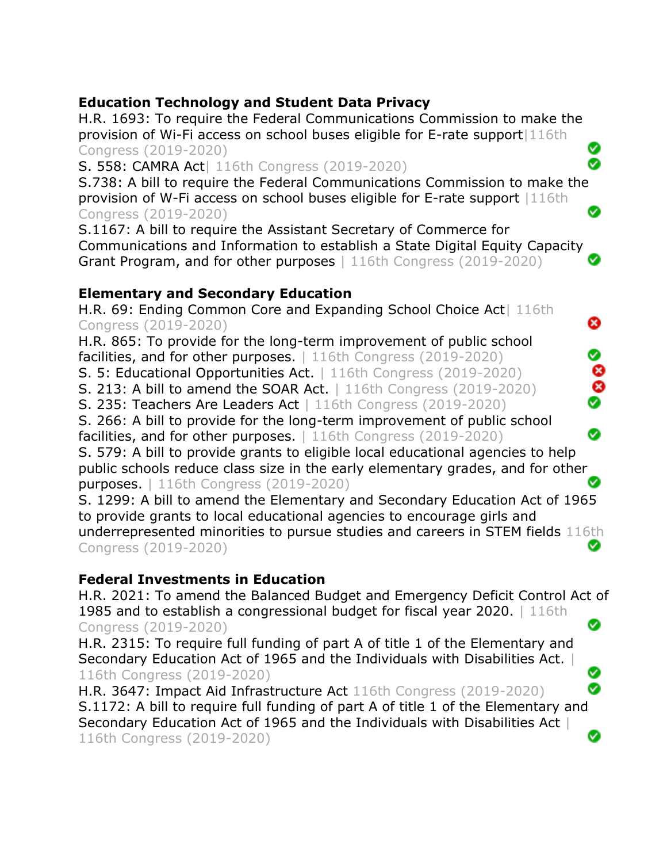#### **Education Technology and Student Data Privacy** H.R. 1693: To require the Federal Communications Commission to make the provision of Wi-Fi access on school buses eligible for E-rate support|116th Ø Congress (2019-2020) S. 558: CAMRA Act| 116th Congress (2019-2020) ☎ S.738: A bill to require the Federal Communications Commission to make the provision of W-Fi access on school buses eligible for E-rate support |116th Ø Congress (2019-2020) S.1167: A bill to require the Assistant Secretary of Commerce for Communications and Information to establish a State Digital Equity Capacity Grant Program, and for other purposes | 116th Congress (2019-2020) **Elementary and Secondary Education** H.R. 69: Ending Common Core and Expanding School Choice Act| 116th Congress (2019-2020) ❸ H.R. 865: To provide for the long-term improvement of public school ❤ facilities, and for other purposes. | 116th Congress (2019-2020) Ø S. 5: Educational Opportunities Act. | 116th Congress (2019-2020)  $\bullet$ S. 213: A bill to amend the SOAR Act. | 116th Congress (2019-2020) S. 235: Teachers Are Leaders Act | 116th Congress (2019-2020) S. 266: A bill to provide for the long-term improvement of public school Ø facilities, and for other purposes. | 116th Congress (2019-2020) S. 579: A bill to provide grants to eligible local educational agencies to help public schools reduce class size in the early elementary grades, and for other Ø purposes. | 116th Congress (2019-2020) S. 1299: A bill to amend the Elementary and Secondary Education Act of 1965 to provide grants to local educational agencies to encourage girls and underrepresented minorities to pursue studies and careers in STEM fields 116th Ø Congress (2019-2020) **Federal Investments in Education** H.R. 2021: To amend the Balanced Budget and Emergency Deficit Control Act of 1985 and to establish a congressional budget for fiscal year 2020. | 116th Ø Congress (2019-2020) H.R. 2315: To require full funding of part A of title 1 of the Elementary and Secondary Education Act of 1965 and the Individuals with Disabilities Act. | Ø 116th Congress (2019-2020) Ø H.R. 3647: Impact Aid Infrastructure Act 116th Congress (2019-2020) S.1172: A bill to require full funding of part A of title 1 of the Elementary and Secondary Education Act of 1965 and the Individuals with Disabilities Act | Ø

116th Congress (2019-2020)